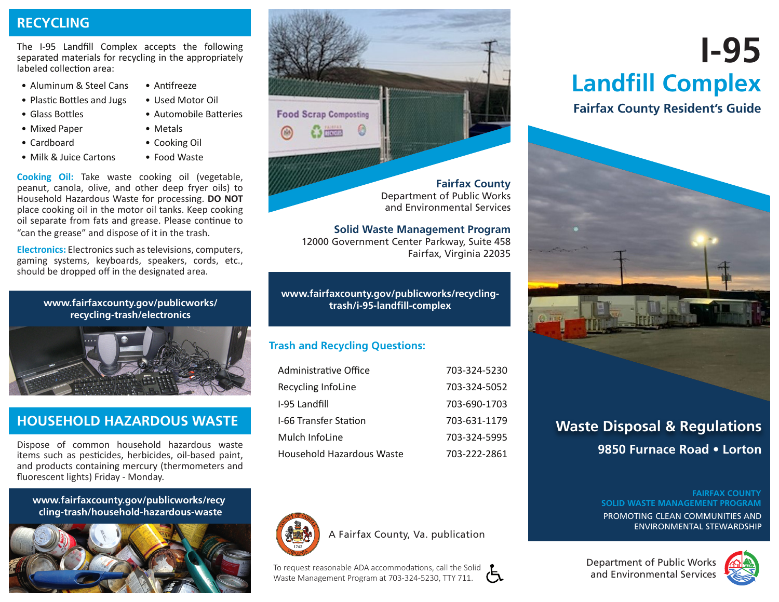# **RECYCLING**

The I-95 Landfill Complex accepts the following separated materials for recycling in the appropriately labeled collection area:

- Aluminum & Steel Cans Antifreeze
- Plastic Bottles and Jugs Used Motor Oil
- Glass Bottles Automobile Batteries
- Mixed Paper Metals
- Cardboard Cooking Oil
- Milk & Juice Cartons Food Waste
- 
- 
- 
- **Cooking Oil:** Take waste cooking oil (vegetable, peanut, canola, olive, and other deep fryer oils) to Household Hazardous Waste for processing. **DO NOT**  place cooking oil in the motor oil tanks. Keep cooking oil separate from fats and grease. Please continue to "can the grease" and dispose of it in the trash.

**Electronics:** Electronics such as televisions, computers, gaming systems, keyboards, speakers, cords, etc., should be dropped off in the designated area.

> **[www.fairfaxcounty.gov/publicworks/](http://www.fairfaxcounty.gov/publicworks/recycling-trash/electronics) [recycling-trash/electronics](http://www.fairfaxcounty.gov/publicworks/recycling-trash/electronics)**



# **HOUSEHOLD HAZARDOUS WASTE**

Dispose of common household hazardous waste items such as pesticides, herbicides, oil-based paint, and products containing mercury (thermometers and fluorescent lights) Friday - Monday.

www.fairfaxcounty.gov/publicworks/recy **[www.fairfaxcounty.gov/publicworks/recy cling-trash/household-hazardous-waste](http://www.fairfaxcounty.gov/publicworks/recycling-trash/household-hazardous-waste)** 





12000 Government Center Parkway, Suite 458 Fairfax, Virginia 22035

**[www.fairfaxcounty.gov/publicworks/recycling](http://www.fairfaxcounty.gov/publicworks/recycling-trash/i-95-landfill-complex)[trash/i-95-landfll-complex](http://www.fairfaxcounty.gov/publicworks/recycling-trash/i-95-landfill-complex)** 

# **Trash and Recycling Questions:**

| Administrative Office        | 703-324-5230 |
|------------------------------|--------------|
| Recycling InfoLine           | 703-324-5052 |
| I-95 Landfill                | 703-690-1703 |
| <b>I-66 Transfer Station</b> | 703-631-1179 |
| Mulch InfoLine               | 703-324-5995 |
| Household Hazardous Waste    | 703-222-2861 |



A Fairfax County, Va. publication

<u>ર્</u>દ To request reasonable ADA accommodations, call the Solid Waste Management Program at 703-324-5230, TTY 711.

# **I-95 Landfill Complex**

# **Fairfax County Resident's Guide**



# **Waste Disposal & Regulations 9850 Furnace Road • Lorton**

#### **FAIRFAX COUNTY SOLID WASTE MANAGEMENT PROGRAM**

PROMOTING CLEAN COMMUNITIES AND ENVIRONMENTAL STEWARDSHIP